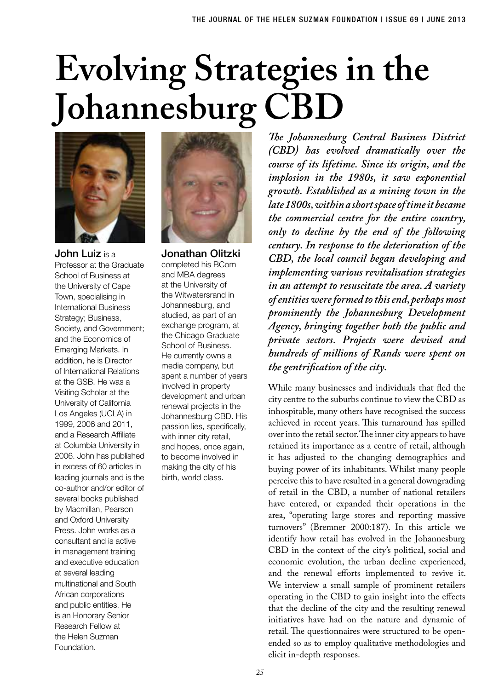## **Evolving Strategies in the Johannesburg CBD**



John Luiz is a Professor at the Graduate School of Business at the University of Cape Town, specialising in International Business Strategy; Business, Society, and Government; and the Economics of Emerging Markets. In addition, he is Director of International Relations at the GSB. He was a Visiting Scholar at the University of California Los Angeles (UCLA) in 1999, 2006 and 2011, and a Research Affiliate at Columbia University in 2006. John has published in excess of 60 articles in leading journals and is the co-author and/or editor of several books published by Macmillan, Pearson and Oxford University Press. John works as a consultant and is active in management training and executive education at several leading multinational and South African corporations and public entities. He is an Honorary Senior Research Fellow at the Helen Suzman Foundation.



Jonathan Olitzki completed his BCom and MBA degrees at the University of the Witwatersrand in Johannesburg, and studied, as part of an exchange program, at the Chicago Graduate School of Business. He currently owns a media company, but spent a number of years involved in property development and urban renewal projects in the Johannesburg CBD. His passion lies, specifically, with inner city retail, and hopes, once again, to become involved in making the city of his birth, world class.

*The Johannesburg Central Business District (CBD) has evolved dramatically over the course of its lifetime. Since its origin, and the implosion in the 1980s, it saw exponential growth. Established as a mining town in the late 1800s, within a short space of time it became the commercial centre for the entire country, only to decline by the end of the following century. In response to the deterioration of the CBD, the local council began developing and implementing various revitalisation strategies in an attempt to resuscitate the area. A variety of entities were formed to this end, perhaps most prominently the Johannesburg Development Agency, bringing together both the public and private sectors. Projects were devised and hundreds of millions of Rands were spent on the gentrification of the city.*

While many businesses and individuals that fled the city centre to the suburbs continue to view the CBD as inhospitable, many others have recognised the success achieved in recent years. This turnaround has spilled over into the retail sector. The inner city appears to have retained its importance as a centre of retail, although it has adjusted to the changing demographics and buying power of its inhabitants. Whilst many people perceive this to have resulted in a general downgrading of retail in the CBD, a number of national retailers have entered, or expanded their operations in the area, "operating large stores and reporting massive turnovers" (Bremner 2000:187). In this article we identify how retail has evolved in the Johannesburg CBD in the context of the city's political, social and economic evolution, the urban decline experienced, and the renewal efforts implemented to revive it. We interview a small sample of prominent retailers operating in the CBD to gain insight into the effects that the decline of the city and the resulting renewal initiatives have had on the nature and dynamic of retail. The questionnaires were structured to be openended so as to employ qualitative methodologies and elicit in-depth responses.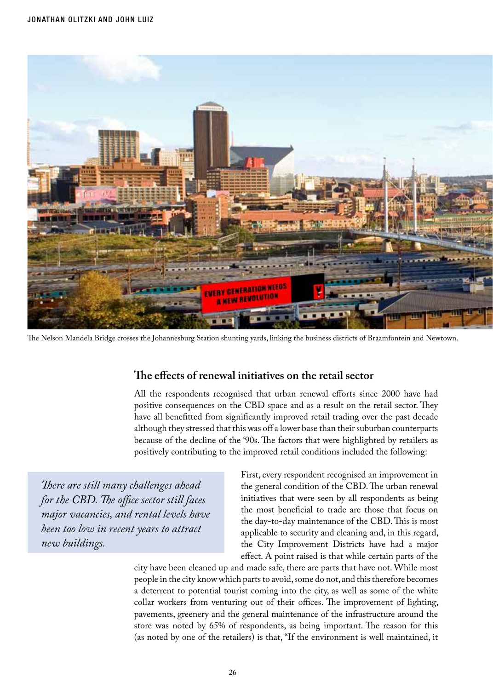

The Nelson Mandela Bridge crosses the Johannesburg Station shunting yards, linking the business districts of Braamfontein and Newtown.

## **The effects of renewal initiatives on the retail sector**

All the respondents recognised that urban renewal efforts since 2000 have had positive consequences on the CBD space and as a result on the retail sector. They have all benefitted from significantly improved retail trading over the past decade although they stressed that this was off a lower base than their suburban counterparts because of the decline of the '90s. The factors that were highlighted by retailers as positively contributing to the improved retail conditions included the following:

*There are still many challenges ahead for the CBD. The office sector still faces major vacancies, and rental levels have been too low in recent years to attract new buildings.* 

First, every respondent recognised an improvement in the general condition of the CBD. The urban renewal initiatives that were seen by all respondents as being the most beneficial to trade are those that focus on the day-to-day maintenance of the CBD. This is most applicable to security and cleaning and, in this regard, the City Improvement Districts have had a major effect. A point raised is that while certain parts of the

city have been cleaned up and made safe, there are parts that have not. While most people in the city know which parts to avoid, some do not, and this therefore becomes a deterrent to potential tourist coming into the city, as well as some of the white collar workers from venturing out of their offices. The improvement of lighting, pavements, greenery and the general maintenance of the infrastructure around the store was noted by 65% of respondents, as being important. The reason for this (as noted by one of the retailers) is that, "If the environment is well maintained, it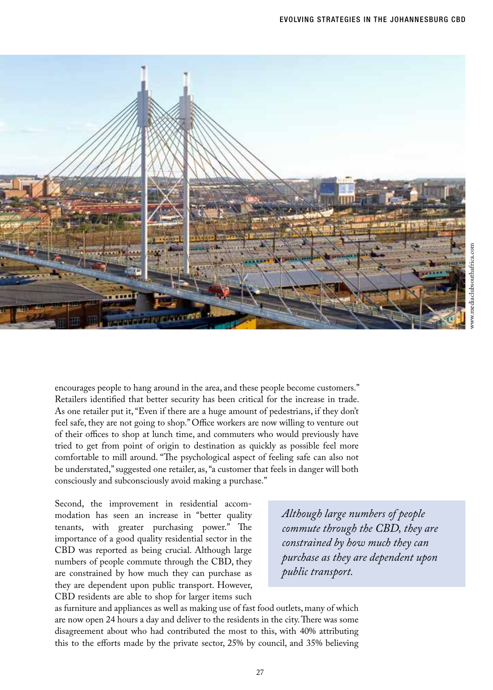

encourages people to hang around in the area, and these people become customers." Retailers identified that better security has been critical for the increase in trade. As one retailer put it, "Even if there are a huge amount of pedestrians, if they don't feel safe, they are not going to shop." Office workers are now willing to venture out of their offices to shop at lunch time, and commuters who would previously have tried to get from point of origin to destination as quickly as possible feel more comfortable to mill around. "The psychological aspect of feeling safe can also not be understated," suggested one retailer, as, "a customer that feels in danger will both consciously and subconsciously avoid making a purchase."

Second, the improvement in residential accommodation has seen an increase in "better quality tenants, with greater purchasing power." The importance of a good quality residential sector in the CBD was reported as being crucial. Although large numbers of people commute through the CBD, they are constrained by how much they can purchase as they are dependent upon public transport. However, CBD residents are able to shop for larger items such

*Although large numbers of people commute through the CBD, they are constrained by how much they can purchase as they are dependent upon public transport.*

as furniture and appliances as well as making use of fast food outlets, many of which are now open 24 hours a day and deliver to the residents in the city. There was some disagreement about who had contributed the most to this, with 40% attributing this to the efforts made by the private sector, 25% by council, and 35% believing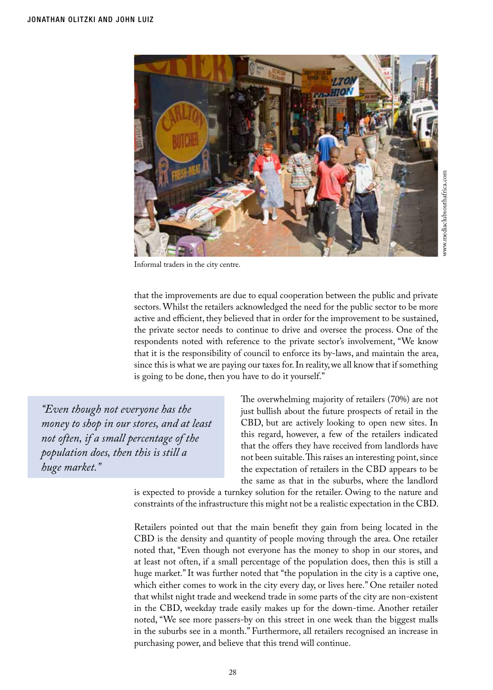

Informal traders in the city centre.

that the improvements are due to equal cooperation between the public and private sectors. Whilst the retailers acknowledged the need for the public sector to be more active and efficient, they believed that in order for the improvement to be sustained, the private sector needs to continue to drive and oversee the process. One of the respondents noted with reference to the private sector's involvement, "We know that it is the responsibility of council to enforce its by-laws, and maintain the area, since this is what we are paying our taxes for. In reality, we all know that if something is going to be done, then you have to do it yourself."

*"Even though not everyone has the money to shop in our stores, and at least not often, if a small percentage of the population does, then this is still a huge market."*

The overwhelming majority of retailers (70%) are not just bullish about the future prospects of retail in the CBD, but are actively looking to open new sites. In this regard, however, a few of the retailers indicated that the offers they have received from landlords have not been suitable. This raises an interesting point, since the expectation of retailers in the CBD appears to be the same as that in the suburbs, where the landlord

is expected to provide a turnkey solution for the retailer. Owing to the nature and constraints of the infrastructure this might not be a realistic expectation in the CBD.

Retailers pointed out that the main benefit they gain from being located in the CBD is the density and quantity of people moving through the area. One retailer noted that, "Even though not everyone has the money to shop in our stores, and at least not often, if a small percentage of the population does, then this is still a huge market." It was further noted that "the population in the city is a captive one, which either comes to work in the city every day, or lives here." One retailer noted that whilst night trade and weekend trade in some parts of the city are non-existent in the CBD, weekday trade easily makes up for the down-time. Another retailer noted, "We see more passers-by on this street in one week than the biggest malls in the suburbs see in a month." Furthermore, all retailers recognised an increase in purchasing power, and believe that this trend will continue.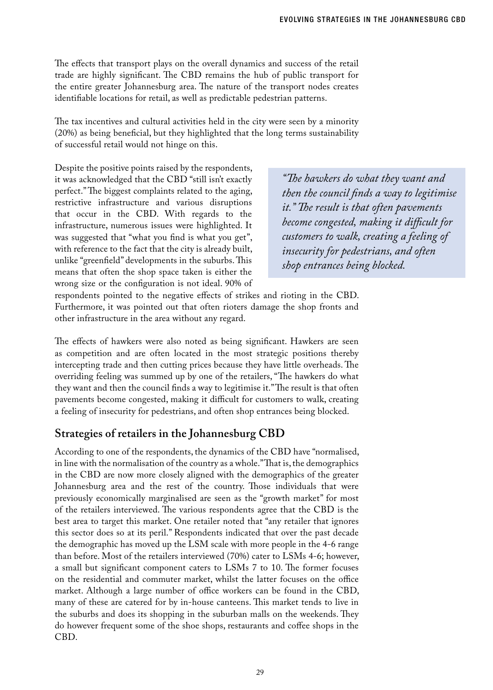The effects that transport plays on the overall dynamics and success of the retail trade are highly significant. The CBD remains the hub of public transport for the entire greater Johannesburg area. The nature of the transport nodes creates identifiable locations for retail, as well as predictable pedestrian patterns.

The tax incentives and cultural activities held in the city were seen by a minority (20%) as being beneficial, but they highlighted that the long terms sustainability of successful retail would not hinge on this.

Despite the positive points raised by the respondents, it was acknowledged that the CBD "still isn't exactly perfect." The biggest complaints related to the aging, restrictive infrastructure and various disruptions that occur in the CBD. With regards to the infrastructure, numerous issues were highlighted. It was suggested that "what you find is what you get", with reference to the fact that the city is already built, unlike "greenfield" developments in the suburbs. This means that often the shop space taken is either the wrong size or the configuration is not ideal. 90% of

*"The hawkers do what they want and then the council finds a way to legitimise it." The result is that often pavements become congested, making it difficult for customers to walk, creating a feeling of insecurity for pedestrians, and often shop entrances being blocked.*

respondents pointed to the negative effects of strikes and rioting in the CBD. Furthermore, it was pointed out that often rioters damage the shop fronts and other infrastructure in the area without any regard.

The effects of hawkers were also noted as being significant. Hawkers are seen as competition and are often located in the most strategic positions thereby intercepting trade and then cutting prices because they have little overheads. The overriding feeling was summed up by one of the retailers, "The hawkers do what they want and then the council finds a way to legitimise it." The result is that often pavements become congested, making it difficult for customers to walk, creating a feeling of insecurity for pedestrians, and often shop entrances being blocked.

## **Strategies of retailers in the Johannesburg CBD**

According to one of the respondents, the dynamics of the CBD have "normalised, in line with the normalisation of the country as a whole." That is, the demographics in the CBD are now more closely aligned with the demographics of the greater Johannesburg area and the rest of the country. Those individuals that were previously economically marginalised are seen as the "growth market" for most of the retailers interviewed. The various respondents agree that the CBD is the best area to target this market. One retailer noted that "any retailer that ignores this sector does so at its peril." Respondents indicated that over the past decade the demographic has moved up the LSM scale with more people in the 4-6 range than before. Most of the retailers interviewed (70%) cater to LSMs 4-6; however, a small but significant component caters to LSMs 7 to 10. The former focuses on the residential and commuter market, whilst the latter focuses on the office market. Although a large number of office workers can be found in the CBD, many of these are catered for by in-house canteens. This market tends to live in the suburbs and does its shopping in the suburban malls on the weekends. They do however frequent some of the shoe shops, restaurants and coffee shops in the CBD.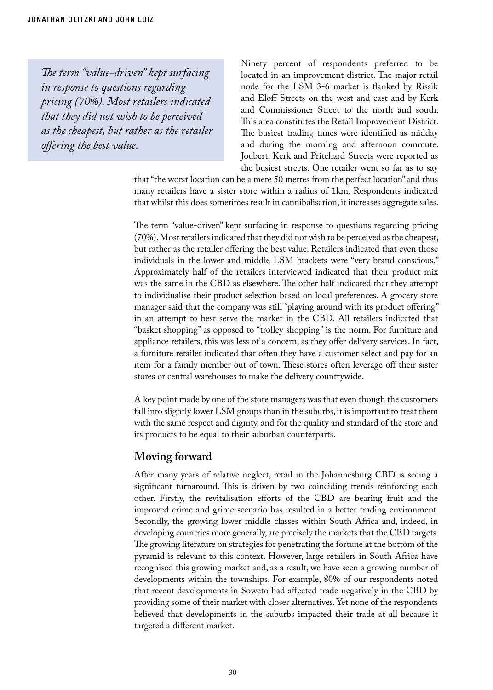*The term "value-driven" kept surfacing in response to questions regarding pricing (70%). Most retailers indicated that they did not wish to be perceived as the cheapest, but rather as the retailer offering the best value.*

Ninety percent of respondents preferred to be located in an improvement district. The major retail node for the LSM 3-6 market is flanked by Rissik and Eloff Streets on the west and east and by Kerk and Commissioner Street to the north and south. This area constitutes the Retail Improvement District. The busiest trading times were identified as midday and during the morning and afternoon commute. Joubert, Kerk and Pritchard Streets were reported as the busiest streets. One retailer went so far as to say

that "the worst location can be a mere 50 metres from the perfect location" and thus many retailers have a sister store within a radius of 1km. Respondents indicated that whilst this does sometimes result in cannibalisation, it increases aggregate sales.

The term "value-driven" kept surfacing in response to questions regarding pricing (70%). Most retailers indicated that they did not wish to be perceived as the cheapest, but rather as the retailer offering the best value. Retailers indicated that even those individuals in the lower and middle LSM brackets were "very brand conscious." Approximately half of the retailers interviewed indicated that their product mix was the same in the CBD as elsewhere. The other half indicated that they attempt to individualise their product selection based on local preferences. A grocery store manager said that the company was still "playing around with its product offering" in an attempt to best serve the market in the CBD. All retailers indicated that "basket shopping" as opposed to "trolley shopping" is the norm. For furniture and appliance retailers, this was less of a concern, as they offer delivery services. In fact, a furniture retailer indicated that often they have a customer select and pay for an item for a family member out of town. These stores often leverage off their sister stores or central warehouses to make the delivery countrywide.

A key point made by one of the store managers was that even though the customers fall into slightly lower LSM groups than in the suburbs, it is important to treat them with the same respect and dignity, and for the quality and standard of the store and its products to be equal to their suburban counterparts.

## **Moving forward**

After many years of relative neglect, retail in the Johannesburg CBD is seeing a significant turnaround. This is driven by two coinciding trends reinforcing each other. Firstly, the revitalisation efforts of the CBD are bearing fruit and the improved crime and grime scenario has resulted in a better trading environment. Secondly, the growing lower middle classes within South Africa and, indeed, in developing countries more generally, are precisely the markets that the CBD targets. The growing literature on strategies for penetrating the fortune at the bottom of the pyramid is relevant to this context. However, large retailers in South Africa have recognised this growing market and, as a result, we have seen a growing number of developments within the townships. For example, 80% of our respondents noted that recent developments in Soweto had affected trade negatively in the CBD by providing some of their market with closer alternatives. Yet none of the respondents believed that developments in the suburbs impacted their trade at all because it targeted a different market.